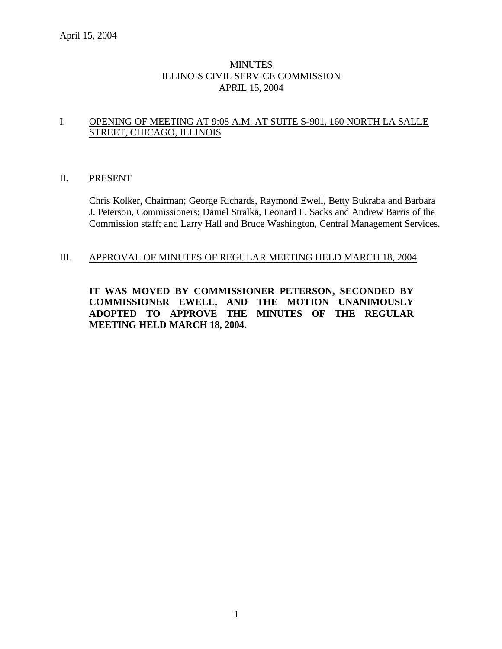## **MINUTES** ILLINOIS CIVIL SERVICE COMMISSION APRIL 15, 2004

## I. OPENING OF MEETING AT 9:08 A.M. AT SUITE S-901, 160 NORTH LA SALLE STREET, CHICAGO, ILLINOIS

### II. PRESENT

Chris Kolker, Chairman; George Richards, Raymond Ewell, Betty Bukraba and Barbara J. Peterson, Commissioners; Daniel Stralka, Leonard F. Sacks and Andrew Barris of the Commission staff; and Larry Hall and Bruce Washington, Central Management Services.

## III. APPROVAL OF MINUTES OF REGULAR MEETING HELD MARCH 18, 2004

**IT WAS MOVED BY COMMISSIONER PETERSON, SECONDED BY COMMISSIONER EWELL, AND THE MOTION UNANIMOUSLY ADOPTED TO APPROVE THE MINUTES OF THE REGULAR MEETING HELD MARCH 18, 2004.**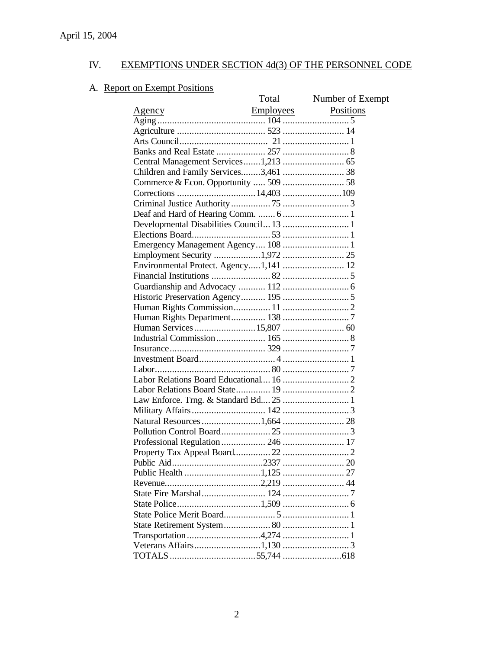# A. Report on Exempt Positions

|                                          | Total | Number of Exempt |
|------------------------------------------|-------|------------------|
|                                          |       | Positions        |
|                                          |       |                  |
|                                          |       |                  |
|                                          |       |                  |
|                                          |       |                  |
|                                          |       |                  |
|                                          |       |                  |
| Commerce & Econ. Opportunity  509  58    |       |                  |
|                                          |       |                  |
|                                          |       |                  |
|                                          |       |                  |
| Developmental Disabilities Council 13  1 |       |                  |
|                                          |       |                  |
| Emergency Management Agency 108  1       |       |                  |
|                                          |       |                  |
| Environmental Protect. Agency1,141  12   |       |                  |
|                                          |       |                  |
|                                          |       |                  |
|                                          |       |                  |
|                                          |       |                  |
|                                          |       |                  |
|                                          |       |                  |
|                                          |       |                  |
|                                          |       |                  |
|                                          |       |                  |
|                                          |       |                  |
|                                          |       |                  |
|                                          |       |                  |
|                                          |       |                  |
|                                          |       |                  |
|                                          |       |                  |
|                                          |       |                  |
|                                          |       |                  |
|                                          |       |                  |
|                                          |       |                  |
|                                          |       |                  |
|                                          |       |                  |
|                                          |       |                  |
|                                          |       |                  |
|                                          |       |                  |
|                                          |       |                  |
| Transportation 4,274  1                  |       |                  |
|                                          |       |                  |
|                                          |       |                  |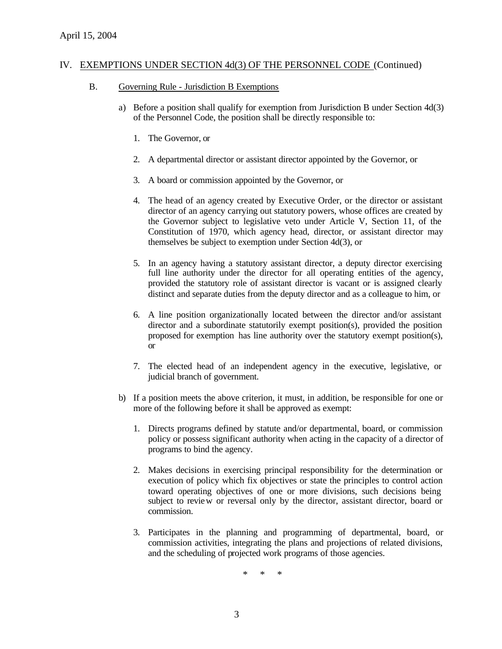- B. Governing Rule Jurisdiction B Exemptions
	- a) Before a position shall qualify for exemption from Jurisdiction B under Section 4d(3) of the Personnel Code, the position shall be directly responsible to:
		- 1. The Governor, or
		- 2. A departmental director or assistant director appointed by the Governor, or
		- 3. A board or commission appointed by the Governor, or
		- 4. The head of an agency created by Executive Order, or the director or assistant director of an agency carrying out statutory powers, whose offices are created by the Governor subject to legislative veto under Article V, Section 11, of the Constitution of 1970, which agency head, director, or assistant director may themselves be subject to exemption under Section 4d(3), or
		- 5. In an agency having a statutory assistant director, a deputy director exercising full line authority under the director for all operating entities of the agency, provided the statutory role of assistant director is vacant or is assigned clearly distinct and separate duties from the deputy director and as a colleague to him, or
		- 6. A line position organizationally located between the director and/or assistant director and a subordinate statutorily exempt position(s), provided the position proposed for exemption has line authority over the statutory exempt position(s), or
		- 7. The elected head of an independent agency in the executive, legislative, or judicial branch of government.
	- b) If a position meets the above criterion, it must, in addition, be responsible for one or more of the following before it shall be approved as exempt:
		- 1. Directs programs defined by statute and/or departmental, board, or commission policy or possess significant authority when acting in the capacity of a director of programs to bind the agency.
		- 2. Makes decisions in exercising principal responsibility for the determination or execution of policy which fix objectives or state the principles to control action toward operating objectives of one or more divisions, such decisions being subject to review or reversal only by the director, assistant director, board or commission.
		- 3. Participates in the planning and programming of departmental, board, or commission activities, integrating the plans and projections of related divisions, and the scheduling of projected work programs of those agencies.

\* \* \*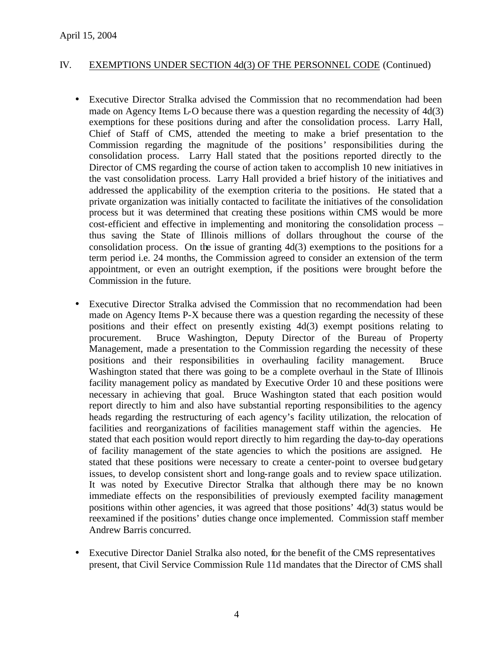- Executive Director Stralka advised the Commission that no recommendation had been made on Agency Items L-O because there was a question regarding the necessity of 4d(3) exemptions for these positions during and after the consolidation process. Larry Hall, Chief of Staff of CMS, attended the meeting to make a brief presentation to the Commission regarding the magnitude of the positions' responsibilities during the consolidation process. Larry Hall stated that the positions reported directly to the Director of CMS regarding the course of action taken to accomplish 10 new initiatives in the vast consolidation process. Larry Hall provided a brief history of the initiatives and addressed the applicability of the exemption criteria to the positions. He stated that a private organization was initially contacted to facilitate the initiatives of the consolidation process but it was determined that creating these positions within CMS would be more cost-efficient and effective in implementing and monitoring the consolidation process – thus saving the State of Illinois millions of dollars throughout the course of the consolidation process. On the issue of granting 4d(3) exemptions to the positions for a term period i.e. 24 months, the Commission agreed to consider an extension of the term appointment, or even an outright exemption, if the positions were brought before the Commission in the future.
- Executive Director Stralka advised the Commission that no recommendation had been made on Agency Items P-X because there was a question regarding the necessity of these positions and their effect on presently existing 4d(3) exempt positions relating to procurement. Bruce Washington, Deputy Director of the Bureau of Property Management, made a presentation to the Commission regarding the necessity of these positions and their responsibilities in overhauling facility management. Bruce Washington stated that there was going to be a complete overhaul in the State of Illinois facility management policy as mandated by Executive Order 10 and these positions were necessary in achieving that goal. Bruce Washington stated that each position would report directly to him and also have substantial reporting responsibilities to the agency heads regarding the restructuring of each agency's facility utilization, the relocation of facilities and reorganizations of facilities management staff within the agencies. He stated that each position would report directly to him regarding the day-to-day operations of facility management of the state agencies to which the positions are assigned. He stated that these positions were necessary to create a center-point to oversee budgetary issues, to develop consistent short and long-range goals and to review space utilization. It was noted by Executive Director Stralka that although there may be no known immediate effects on the responsibilities of previously exempted facility management positions within other agencies, it was agreed that those positions' 4d(3) status would be reexamined if the positions' duties change once implemented. Commission staff member Andrew Barris concurred.
- Executive Director Daniel Stralka also noted, for the benefit of the CMS representatives present, that Civil Service Commission Rule 11d mandates that the Director of CMS shall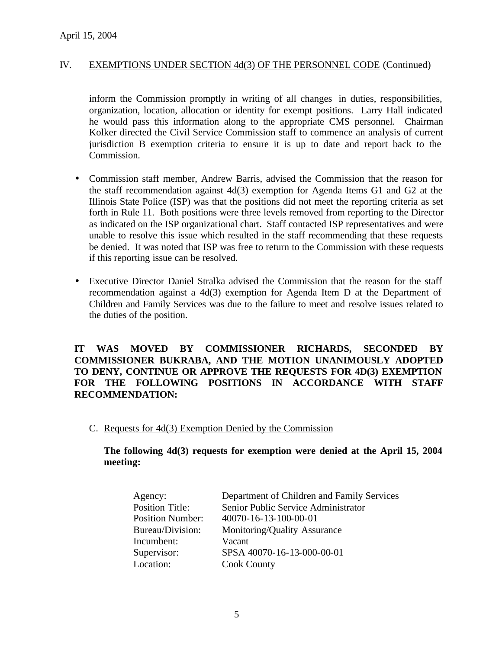inform the Commission promptly in writing of all changes in duties, responsibilities, organization, location, allocation or identity for exempt positions. Larry Hall indicated he would pass this information along to the appropriate CMS personnel. Chairman Kolker directed the Civil Service Commission staff to commence an analysis of current jurisdiction B exemption criteria to ensure it is up to date and report back to the Commission.

- Commission staff member, Andrew Barris, advised the Commission that the reason for the staff recommendation against 4d(3) exemption for Agenda Items G1 and G2 at the Illinois State Police (ISP) was that the positions did not meet the reporting criteria as set forth in Rule 11. Both positions were three levels removed from reporting to the Director as indicated on the ISP organizational chart. Staff contacted ISP representatives and were unable to resolve this issue which resulted in the staff recommending that these requests be denied. It was noted that ISP was free to return to the Commission with these requests if this reporting issue can be resolved.
- Executive Director Daniel Stralka advised the Commission that the reason for the staff recommendation against a 4d(3) exemption for Agenda Item D at the Department of Children and Family Services was due to the failure to meet and resolve issues related to the duties of the position.

## **IT WAS MOVED BY COMMISSIONER RICHARDS, SECONDED BY COMMISSIONER BUKRABA, AND THE MOTION UNANIMOUSLY ADOPTED TO DENY, CONTINUE OR APPROVE THE REQUESTS FOR 4D(3) EXEMPTION FOR THE FOLLOWING POSITIONS IN ACCORDANCE WITH STAFF RECOMMENDATION:**

C. Requests for 4d(3) Exemption Denied by the Commission

### **The following 4d(3) requests for exemption were denied at the April 15, 2004 meeting:**

| Agency:                 | Department of Children and Family Services |
|-------------------------|--------------------------------------------|
| <b>Position Title:</b>  | Senior Public Service Administrator        |
| <b>Position Number:</b> | 40070-16-13-100-00-01                      |
| Bureau/Division:        | Monitoring/Quality Assurance               |
| Incumbent:              | Vacant                                     |
| Supervisor:             | SPSA 40070-16-13-000-00-01                 |
| Location:               | <b>Cook County</b>                         |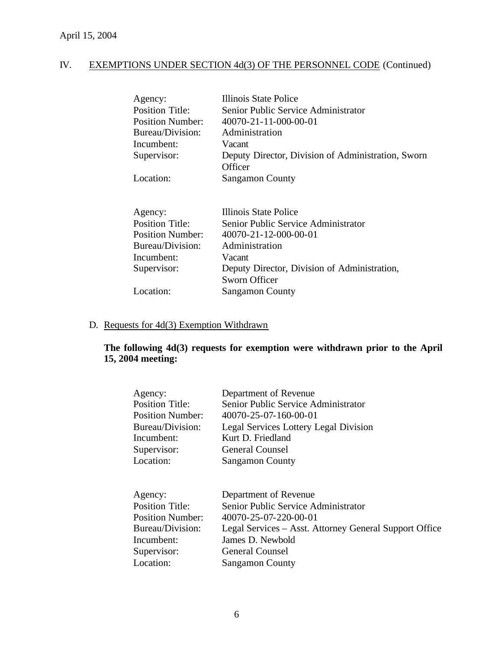| Agency:                 | Illinois State Police                              |
|-------------------------|----------------------------------------------------|
| <b>Position Title:</b>  | Senior Public Service Administrator                |
| <b>Position Number:</b> | 40070-21-11-000-00-01                              |
| Bureau/Division:        | Administration                                     |
| Incumbent:              | Vacant                                             |
| Supervisor:             | Deputy Director, Division of Administration, Sworn |
|                         | Officer                                            |
| Location:               | <b>Sangamon County</b>                             |

| Agency:                 | Illinois State Police                        |
|-------------------------|----------------------------------------------|
| <b>Position Title:</b>  | Senior Public Service Administrator          |
| <b>Position Number:</b> | 40070-21-12-000-00-01                        |
| Bureau/Division:        | Administration                               |
| Incumbent:              | Vacant                                       |
| Supervisor:             | Deputy Director, Division of Administration, |
|                         | Sworn Officer                                |
| Location:               | <b>Sangamon County</b>                       |
|                         |                                              |

## D. Requests for 4d(3) Exemption Withdrawn

## **The following 4d(3) requests for exemption were withdrawn prior to the April 15, 2004 meeting:**

| Agency:                 | Department of Revenue                                  |
|-------------------------|--------------------------------------------------------|
| <b>Position Title:</b>  | Senior Public Service Administrator                    |
| <b>Position Number:</b> | 40070-25-07-160-00-01                                  |
| Bureau/Division:        | Legal Services Lottery Legal Division                  |
| Incumbent:              | Kurt D. Friedland                                      |
| Supervisor:             | General Counsel                                        |
| Location:               | <b>Sangamon County</b>                                 |
|                         |                                                        |
|                         |                                                        |
| Agency:                 | Department of Revenue                                  |
| <b>Position Title:</b>  | Senior Public Service Administrator                    |
| <b>Position Number:</b> | 40070-25-07-220-00-01                                  |
| Bureau/Division:        | Legal Services – Asst. Attorney General Support Office |
| Incumbent:              | James D. Newbold                                       |
| Supervisor:             | <b>General Counsel</b>                                 |
| Location:               | <b>Sangamon County</b>                                 |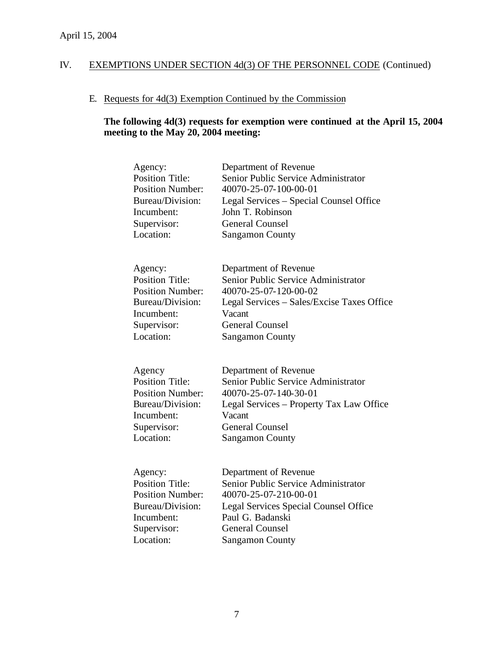## E. Requests for 4d(3) Exemption Continued by the Commission

## **The following 4d(3) requests for exemption were continued at the April 15, 2004 meeting to the May 20, 2004 meeting:**

| Agency:                 | Department of Revenue                        |
|-------------------------|----------------------------------------------|
| <b>Position Title:</b>  | Senior Public Service Administrator          |
| <b>Position Number:</b> | 40070-25-07-100-00-01                        |
| Bureau/Division:        | Legal Services - Special Counsel Office      |
| Incumbent:              | John T. Robinson                             |
| Supervisor:             | <b>General Counsel</b>                       |
| Location:               | <b>Sangamon County</b>                       |
| Agency:                 | Department of Revenue                        |
| <b>Position Title:</b>  | Senior Public Service Administrator          |
| <b>Position Number:</b> | 40070-25-07-120-00-02                        |
| Bureau/Division:        | Legal Services – Sales/Excise Taxes Office   |
| Incumbent:              | Vacant                                       |
| Supervisor:             | <b>General Counsel</b>                       |
| Location:               | <b>Sangamon County</b>                       |
| Agency                  | Department of Revenue                        |
| <b>Position Title:</b>  | Senior Public Service Administrator          |
| <b>Position Number:</b> | 40070-25-07-140-30-01                        |
| Bureau/Division:        | Legal Services – Property Tax Law Office     |
| Incumbent:              | Vacant                                       |
| Supervisor:             | <b>General Counsel</b>                       |
| Location:               | <b>Sangamon County</b>                       |
| Agency:                 | Department of Revenue                        |
| <b>Position Title:</b>  | Senior Public Service Administrator          |
| <b>Position Number:</b> | 40070-25-07-210-00-01                        |
| Bureau/Division:        | <b>Legal Services Special Counsel Office</b> |
| Incumbent:              | Paul G. Badanski                             |
| Supervisor:             | <b>General Counsel</b>                       |
| Location:               | <b>Sangamon County</b>                       |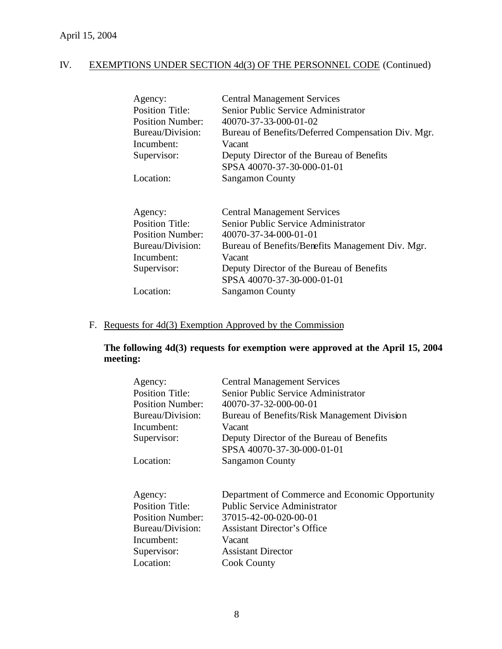| Agency:                 | <b>Central Management Services</b>                 |
|-------------------------|----------------------------------------------------|
| <b>Position Title:</b>  | Senior Public Service Administrator                |
| <b>Position Number:</b> | 40070-37-33-000-01-02                              |
| Bureau/Division:        | Bureau of Benefits/Deferred Compensation Div. Mgr. |
| Incumbent:              | Vacant                                             |
| Supervisor:             | Deputy Director of the Bureau of Benefits          |
|                         | SPSA 40070-37-30-000-01-01                         |
| Location:               | <b>Sangamon County</b>                             |
|                         |                                                    |
|                         | <b>Central Management Services</b>                 |
| Agency:                 |                                                    |
| <b>Position Title:</b>  | Senior Public Service Administrator                |
| Position Number:        | 40070-37-34-000-01-01                              |
| Bureau/Division:        | Bureau of Benefits/Benefits Management Div. Mgr.   |
| Incumbent:              | Vacant                                             |
| Supervisor:             | Deputy Director of the Bureau of Benefits          |
|                         | SPSA 40070-37-30-000-01-01                         |
| Location:               | <b>Sangamon County</b>                             |

## F. Requests for 4d(3) Exemption Approved by the Commission

## **The following 4d(3) requests for exemption were approved at the April 15, 2004 meeting:**

| Agency:                 | <b>Central Management Services</b>              |
|-------------------------|-------------------------------------------------|
| <b>Position Title:</b>  | Senior Public Service Administrator             |
| <b>Position Number:</b> | 40070-37-32-000-00-01                           |
| Bureau/Division:        | Bureau of Benefits/Risk Management Division     |
| Incumbent:              | Vacant                                          |
| Supervisor:             | Deputy Director of the Bureau of Benefits       |
|                         | SPSA 40070-37-30-000-01-01                      |
| Location:               | <b>Sangamon County</b>                          |
|                         |                                                 |
|                         |                                                 |
| Agency:                 | Department of Commerce and Economic Opportunity |
| <b>Position Title:</b>  | <b>Public Service Administrator</b>             |
| <b>Position Number:</b> | 37015-42-00-020-00-01                           |
| Bureau/Division:        | <b>Assistant Director's Office</b>              |
| Incumbent:              | Vacant                                          |
| Supervisor:             | <b>Assistant Director</b>                       |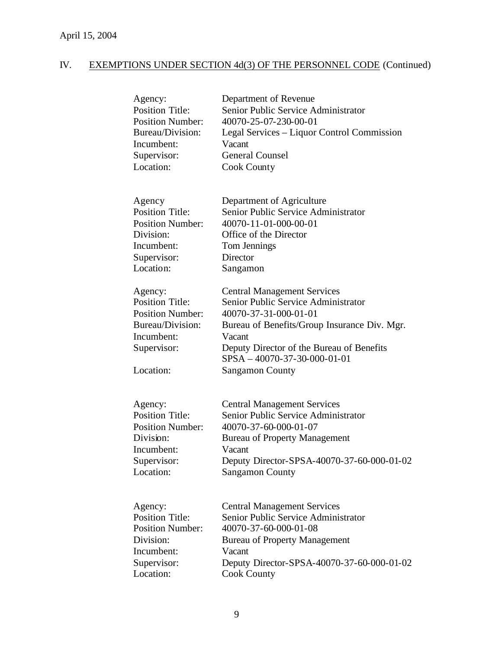| Agency:                                                                                                                    | Department of Revenue                                                                                                                                                                                                                                                           |
|----------------------------------------------------------------------------------------------------------------------------|---------------------------------------------------------------------------------------------------------------------------------------------------------------------------------------------------------------------------------------------------------------------------------|
| <b>Position Title:</b>                                                                                                     | Senior Public Service Administrator                                                                                                                                                                                                                                             |
| <b>Position Number:</b>                                                                                                    | 40070-25-07-230-00-01                                                                                                                                                                                                                                                           |
| Bureau/Division:                                                                                                           | Legal Services – Liquor Control Commission                                                                                                                                                                                                                                      |
| Incumbent:                                                                                                                 | Vacant                                                                                                                                                                                                                                                                          |
| Supervisor:                                                                                                                | <b>General Counsel</b>                                                                                                                                                                                                                                                          |
| Location:                                                                                                                  | Cook County                                                                                                                                                                                                                                                                     |
| Agency                                                                                                                     | Department of Agriculture                                                                                                                                                                                                                                                       |
| <b>Position Title:</b>                                                                                                     | Senior Public Service Administrator                                                                                                                                                                                                                                             |
| <b>Position Number:</b>                                                                                                    | 40070-11-01-000-00-01                                                                                                                                                                                                                                                           |
| Division:                                                                                                                  | Office of the Director                                                                                                                                                                                                                                                          |
| Incumbent:                                                                                                                 | Tom Jennings                                                                                                                                                                                                                                                                    |
| Supervisor:                                                                                                                | Director                                                                                                                                                                                                                                                                        |
| Location:                                                                                                                  | Sangamon                                                                                                                                                                                                                                                                        |
| Agency:<br><b>Position Title:</b><br><b>Position Number:</b><br>Bureau/Division:<br>Incumbent:<br>Supervisor:<br>Location: | <b>Central Management Services</b><br>Senior Public Service Administrator<br>40070-37-31-000-01-01<br>Bureau of Benefits/Group Insurance Div. Mgr.<br>Vacant<br>Deputy Director of the Bureau of Benefits<br>$SPSA - 40070 - 37 - 30 - 000 - 01 - 01$<br><b>Sangamon County</b> |
| Agency:                                                                                                                    | <b>Central Management Services</b>                                                                                                                                                                                                                                              |
| <b>Position Title:</b>                                                                                                     | Senior Public Service Administrator                                                                                                                                                                                                                                             |
| <b>Position Number:</b>                                                                                                    | 40070-37-60-000-01-07                                                                                                                                                                                                                                                           |
| Division:                                                                                                                  | <b>Bureau of Property Management</b>                                                                                                                                                                                                                                            |
| Incumbent:                                                                                                                 | Vacant                                                                                                                                                                                                                                                                          |
| Supervisor:                                                                                                                | Deputy Director-SPSA-40070-37-60-000-01-02                                                                                                                                                                                                                                      |
| Location:                                                                                                                  | <b>Sangamon County</b>                                                                                                                                                                                                                                                          |
| Agency:                                                                                                                    | <b>Central Management Services</b>                                                                                                                                                                                                                                              |
| <b>Position Title:</b>                                                                                                     | Senior Public Service Administrator                                                                                                                                                                                                                                             |
| <b>Position Number:</b>                                                                                                    | 40070-37-60-000-01-08                                                                                                                                                                                                                                                           |
| Division:                                                                                                                  | <b>Bureau of Property Management</b>                                                                                                                                                                                                                                            |
| Incumbent:                                                                                                                 | Vacant                                                                                                                                                                                                                                                                          |
| Supervisor:                                                                                                                | Deputy Director-SPSA-40070-37-60-000-01-02                                                                                                                                                                                                                                      |
| Location:                                                                                                                  | <b>Cook County</b>                                                                                                                                                                                                                                                              |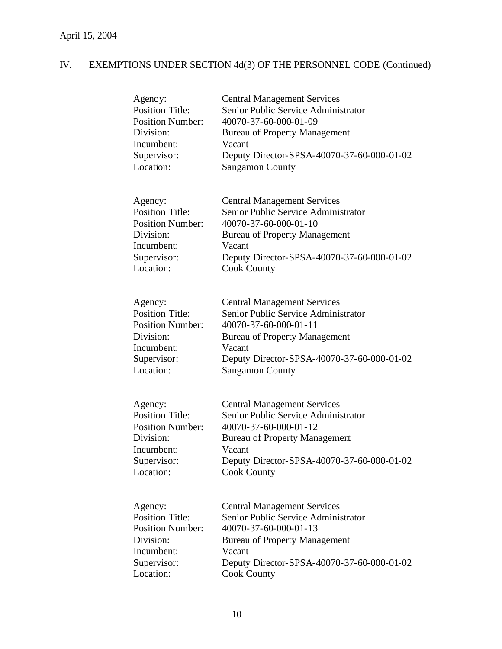| Agency:                 | <b>Central Management Services</b>         |
|-------------------------|--------------------------------------------|
| <b>Position Title:</b>  | Senior Public Service Administrator        |
| <b>Position Number:</b> | 40070-37-60-000-01-09                      |
| Division:               | <b>Bureau of Property Management</b>       |
| Incumbent:              | Vacant                                     |
| Supervisor:             | Deputy Director-SPSA-40070-37-60-000-01-02 |
| Location:               | <b>Sangamon County</b>                     |
| Agency:                 | <b>Central Management Services</b>         |
| <b>Position Title:</b>  | Senior Public Service Administrator        |
| <b>Position Number:</b> | 40070-37-60-000-01-10                      |
| Division:               | <b>Bureau of Property Management</b>       |
| Incumbent:              | Vacant                                     |
| Supervisor:             | Deputy Director-SPSA-40070-37-60-000-01-02 |
| Location:               | <b>Cook County</b>                         |
| Agency:                 | <b>Central Management Services</b>         |
| <b>Position Title:</b>  | Senior Public Service Administrator        |
| <b>Position Number:</b> | 40070-37-60-000-01-11                      |
| Division:               | <b>Bureau of Property Management</b>       |
| Incumbent:              | Vacant                                     |
| Supervisor:             | Deputy Director-SPSA-40070-37-60-000-01-02 |
| Location:               | <b>Sangamon County</b>                     |
| Agency:                 | <b>Central Management Services</b>         |
| <b>Position Title:</b>  | Senior Public Service Administrator        |
| <b>Position Number:</b> | 40070-37-60-000-01-12                      |
| Division:               | <b>Bureau of Property Management</b>       |
| Incumbent:              | Vacant                                     |
| Supervisor:             | Deputy Director-SPSA-40070-37-60-000-01-02 |
| Location:               | <b>Cook County</b>                         |
| Agency:                 | <b>Central Management Services</b>         |
| <b>Position Title:</b>  | Senior Public Service Administrator        |
| <b>Position Number:</b> | 40070-37-60-000-01-13                      |
| Division:               | <b>Bureau of Property Management</b>       |
| Incumbent:              | Vacant                                     |
| Supervisor:             | Deputy Director-SPSA-40070-37-60-000-01-02 |
| Location:               | <b>Cook County</b>                         |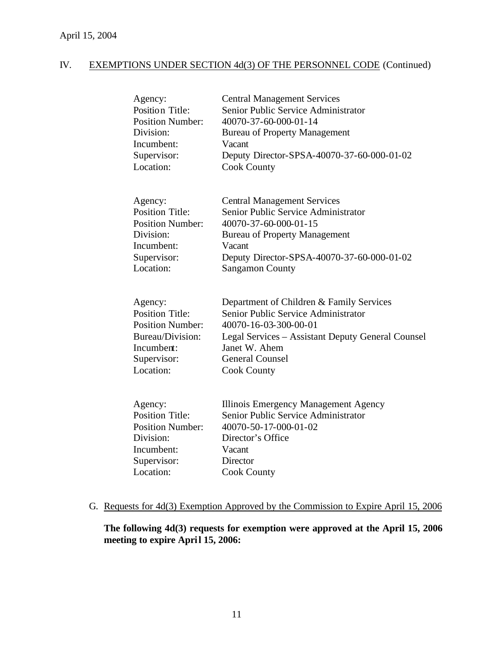| Agency:                 | <b>Central Management Services</b>                |
|-------------------------|---------------------------------------------------|
| <b>Position Title:</b>  | Senior Public Service Administrator               |
| <b>Position Number:</b> | 40070-37-60-000-01-14                             |
| Division:               | <b>Bureau of Property Management</b>              |
| Incumbent:              | Vacant                                            |
| Supervisor:             | Deputy Director-SPSA-40070-37-60-000-01-02        |
| Location:               | <b>Cook County</b>                                |
|                         |                                                   |
|                         |                                                   |
| Agency:                 | <b>Central Management Services</b>                |
| <b>Position Title:</b>  | Senior Public Service Administrator               |
| <b>Position Number:</b> | 40070-37-60-000-01-15                             |
| Division:               | <b>Bureau of Property Management</b>              |
| Incumbent:              | Vacant                                            |
| Supervisor:             | Deputy Director-SPSA-40070-37-60-000-01-02        |
| Location:               | <b>Sangamon County</b>                            |
|                         |                                                   |
| Agency:                 | Department of Children & Family Services          |
| <b>Position Title:</b>  | Senior Public Service Administrator               |
| <b>Position Number:</b> | 40070-16-03-300-00-01                             |
| Bureau/Division:        | Legal Services - Assistant Deputy General Counsel |
| Incumbent:              | Janet W. Ahem                                     |
| Supervisor:             | <b>General Counsel</b>                            |
| Location:               | <b>Cook County</b>                                |
|                         |                                                   |
|                         |                                                   |
| Agency:                 | Illinois Emergency Management Agency              |
| <b>Position Title:</b>  | Senior Public Service Administrator               |
| <b>Position Number:</b> | 40070-50-17-000-01-02                             |
| Division:               | Director's Office                                 |
| Incumbent:              | Vacant                                            |
| Supervisor:             | Director                                          |
| Location:               | <b>Cook County</b>                                |
|                         |                                                   |

## G. Requests for 4d(3) Exemption Approved by the Commission to Expire April 15, 2006

**The following 4d(3) requests for exemption were approved at the April 15, 2006 meeting to expire April 15, 2006:**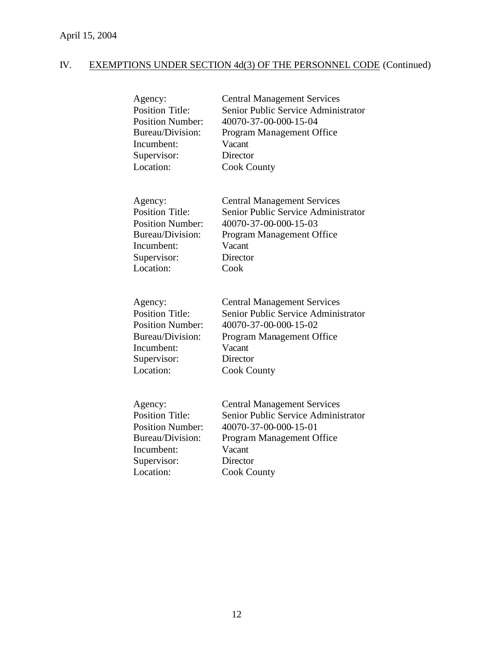| Agency:                 | <b>Central Management Services</b>  |
|-------------------------|-------------------------------------|
| <b>Position Title:</b>  | Senior Public Service Administrator |
| <b>Position Number:</b> | 40070-37-00-000-15-04               |
| Bureau/Division:        | Program Management Office           |
| Incumbent:              | Vacant                              |
| Supervisor:             | Director                            |
| Location:               | <b>Cook County</b>                  |
| Agency:                 | <b>Central Management Services</b>  |
| <b>Position Title:</b>  | Senior Public Service Administrator |
| <b>Position Number:</b> | 40070-37-00-000-15-03               |
| Bureau/Division:        | Program Management Office           |
| Incumbent:              | Vacant                              |
| Supervisor:             | Director                            |
| Location:               | Cook                                |
| Agency:                 | <b>Central Management Services</b>  |
| <b>Position Title:</b>  | Senior Public Service Administrator |
| <b>Position Number:</b> | 40070-37-00-000-15-02               |
| Bureau/Division:        | Program Management Office           |
| Incumbent:              | Vacant                              |
| Supervisor:             | Director                            |
| Location:               | <b>Cook County</b>                  |
| Agency:                 | <b>Central Management Services</b>  |
| <b>Position Title:</b>  | Senior Public Service Administrator |
| <b>Position Number:</b> | 40070-37-00-000-15-01               |
| Bureau/Division:        | Program Management Office           |
| Incumbent:              | Vacant                              |
| Supervisor:             | Director                            |
| Location:               | <b>Cook County</b>                  |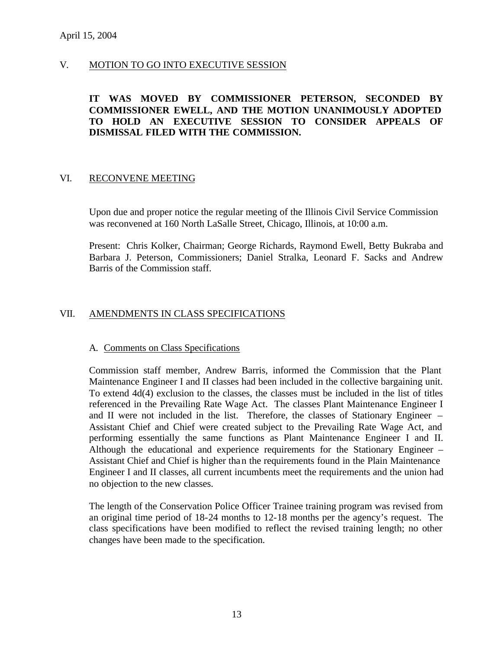## V. MOTION TO GO INTO EXECUTIVE SESSION

## **IT WAS MOVED BY COMMISSIONER PETERSON, SECONDED BY COMMISSIONER EWELL, AND THE MOTION UNANIMOUSLY ADOPTED TO HOLD AN EXECUTIVE SESSION TO CONSIDER APPEALS OF DISMISSAL FILED WITH THE COMMISSION.**

### VI. RECONVENE MEETING

Upon due and proper notice the regular meeting of the Illinois Civil Service Commission was reconvened at 160 North LaSalle Street, Chicago, Illinois, at 10:00 a.m.

Present: Chris Kolker, Chairman; George Richards, Raymond Ewell, Betty Bukraba and Barbara J. Peterson, Commissioners; Daniel Stralka, Leonard F. Sacks and Andrew Barris of the Commission staff.

## VII. AMENDMENTS IN CLASS SPECIFICATIONS

#### A. Comments on Class Specifications

Commission staff member, Andrew Barris, informed the Commission that the Plant Maintenance Engineer I and II classes had been included in the collective bargaining unit. To extend 4d(4) exclusion to the classes, the classes must be included in the list of titles referenced in the Prevailing Rate Wage Act. The classes Plant Maintenance Engineer I and II were not included in the list. Therefore, the classes of Stationary Engineer – Assistant Chief and Chief were created subject to the Prevailing Rate Wage Act, and performing essentially the same functions as Plant Maintenance Engineer I and II. Although the educational and experience requirements for the Stationary Engineer – Assistant Chief and Chief is higher than the requirements found in the Plain Maintenance Engineer I and II classes, all current incumbents meet the requirements and the union had no objection to the new classes.

The length of the Conservation Police Officer Trainee training program was revised from an original time period of 18-24 months to 12-18 months per the agency's request. The class specifications have been modified to reflect the revised training length; no other changes have been made to the specification.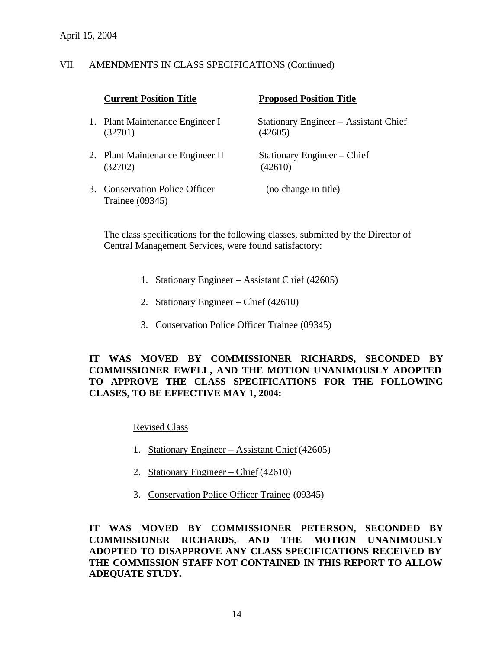### VII. AMENDMENTS IN CLASS SPECIFICATIONS (Continued)

|    | <b>Current Position Title</b>                         | <b>Proposed Position Title</b>                   |
|----|-------------------------------------------------------|--------------------------------------------------|
|    | 1. Plant Maintenance Engineer I<br>(32701)            | Stationary Engineer – Assistant Chief<br>(42605) |
|    | 2. Plant Maintenance Engineer II<br>(32702)           | Stationary Engineer – Chief<br>(42610)           |
| 3. | <b>Conservation Police Officer</b><br>Trainee (09345) | (no change in title)                             |

The class specifications for the following classes, submitted by the Director of Central Management Services, were found satisfactory:

- 1. Stationary Engineer Assistant Chief (42605)
- 2. Stationary Engineer Chief (42610)
- 3. Conservation Police Officer Trainee (09345)

## **IT WAS MOVED BY COMMISSIONER RICHARDS, SECONDED BY COMMISSIONER EWELL, AND THE MOTION UNANIMOUSLY ADOPTED TO APPROVE THE CLASS SPECIFICATIONS FOR THE FOLLOWING CLASES, TO BE EFFECTIVE MAY 1, 2004:**

Revised Class

- 1. Stationary Engineer Assistant Chief (42605)
- 2. Stationary Engineer Chief (42610)
- 3. Conservation Police Officer Trainee (09345)

**IT WAS MOVED BY COMMISSIONER PETERSON, SECONDED BY COMMISSIONER RICHARDS, AND THE MOTION UNANIMOUSLY ADOPTED TO DISAPPROVE ANY CLASS SPECIFICATIONS RECEIVED BY THE COMMISSION STAFF NOT CONTAINED IN THIS REPORT TO ALLOW ADEQUATE STUDY.**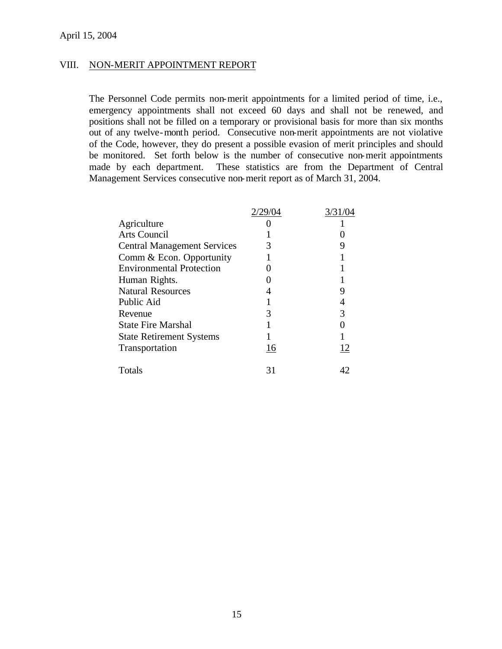### VIII. NON-MERIT APPOINTMENT REPORT

The Personnel Code permits non-merit appointments for a limited period of time, i.e., emergency appointments shall not exceed 60 days and shall not be renewed, and positions shall not be filled on a temporary or provisional basis for more than six months out of any twelve-month period. Consecutive non-merit appointments are not violative of the Code, however, they do present a possible evasion of merit principles and should be monitored. Set forth below is the number of consecutive non-merit appointments made by each department. These statistics are from the Department of Central Management Services consecutive non-merit report as of March 31, 2004.

|                                    | 2/29/04 | 3/31/04 |
|------------------------------------|---------|---------|
| Agriculture                        |         |         |
| <b>Arts Council</b>                |         |         |
| <b>Central Management Services</b> |         |         |
| Comm & Econ. Opportunity           |         |         |
| <b>Environmental Protection</b>    |         |         |
| Human Rights.                      |         |         |
| <b>Natural Resources</b>           |         |         |
| Public Aid                         |         |         |
| Revenue                            | 3       | 3       |
| <b>State Fire Marshal</b>          |         |         |
| <b>State Retirement Systems</b>    |         |         |
| Transportation                     | 16      | 12      |
| Totals                             | 31      | 42      |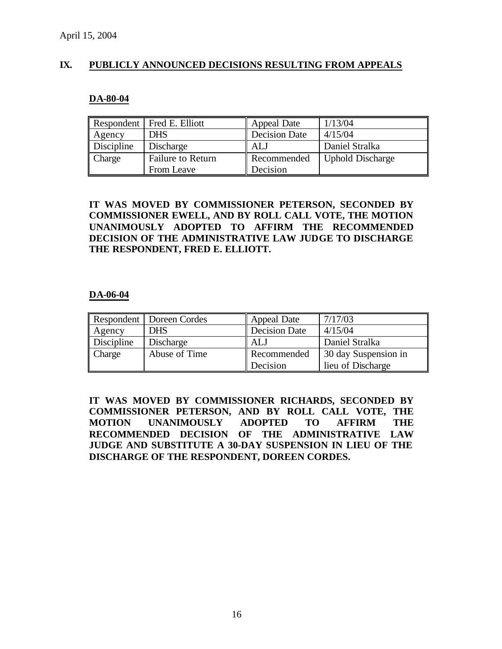## **IX. PUBLICLY ANNOUNCED DECISIONS RESULTING FROM APPEALS**

#### **DA-80-04**

|               | Respondent   Fred E. Elliott | Appeal Date          | 1/13/04                 |
|---------------|------------------------------|----------------------|-------------------------|
| <b>Agency</b> | <b>DHS</b>                   | <b>Decision Date</b> | 4/15/04                 |
| Discipline    | Discharge                    | ALJ                  | Daniel Stralka          |
| <b>Charge</b> | <b>Failure to Return</b>     | Recommended          | <b>Uphold Discharge</b> |
|               | From Leave                   | Decision             |                         |

## **IT WAS MOVED BY COMMISSIONER PETERSON, SECONDED BY COMMISSIONER EWELL, AND BY ROLL CALL VOTE, THE MOTION UNANIMOUSLY ADOPTED TO AFFIRM THE RECOMMENDED DECISION OF THE ADMINISTRATIVE LAW JUDGE TO DISCHARGE THE RESPONDENT, FRED E. ELLIOTT.**

#### **DA-06-04**

|               | Respondent   Doreen Cordes | Appeal Date          | 7/17/03              |
|---------------|----------------------------|----------------------|----------------------|
| <b>Agency</b> | <b>DHS</b>                 | <b>Decision Date</b> | 4/15/04              |
| Discipline    | Discharge                  | ALJ                  | Daniel Stralka       |
| <b>Charge</b> | Abuse of Time              | Recommended          | 30 day Suspension in |
|               |                            | Decision             | lieu of Discharge    |

**IT WAS MOVED BY COMMISSIONER RICHARDS, SECONDED BY COMMISSIONER PETERSON, AND BY ROLL CALL VOTE, THE MOTION UNANIMOUSLY ADOPTED TO AFFIRM THE RECOMMENDED DECISION OF THE ADMINISTRATIVE LAW JUDGE AND SUBSTITUTE A 30-DAY SUSPENSION IN LIEU OF THE DISCHARGE OF THE RESPONDENT, DOREEN CORDES.**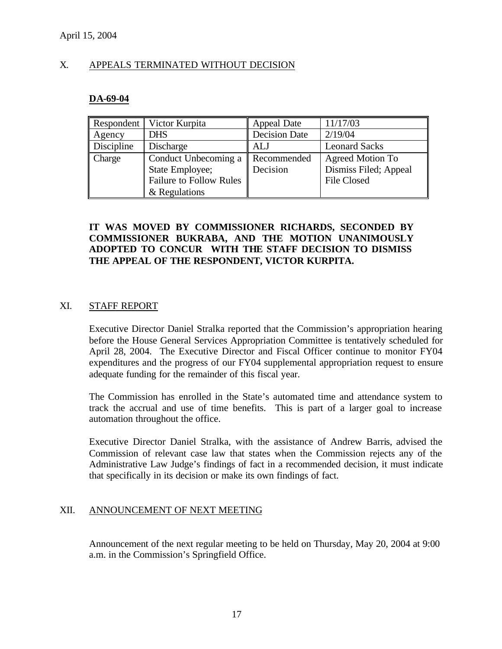### X. APPEALS TERMINATED WITHOUT DECISION

### **DA-69-04**

| <b>Respondent</b>  | Victor Kurpita                 | Appeal Date          | 11/17/03                |
|--------------------|--------------------------------|----------------------|-------------------------|
| $\parallel$ Agency | <b>DHS</b>                     | <b>Decision Date</b> | 2/19/04                 |
| <b>Discipline</b>  | Discharge                      | ALJ                  | <b>Leonard Sacks</b>    |
| <b>Charge</b>      | Conduct Unbecoming a           | Recommended          | <b>Agreed Motion To</b> |
|                    | State Employee;                | Decision             | Dismiss Filed; Appeal   |
|                    | <b>Failure to Follow Rules</b> |                      | <b>File Closed</b>      |
|                    | & Regulations                  |                      |                         |

## **IT WAS MOVED BY COMMISSIONER RICHARDS, SECONDED BY COMMISSIONER BUKRABA, AND THE MOTION UNANIMOUSLY ADOPTED TO CONCUR WITH THE STAFF DECISION TO DISMISS THE APPEAL OF THE RESPONDENT, VICTOR KURPITA.**

### XI. STAFF REPORT

Executive Director Daniel Stralka reported that the Commission's appropriation hearing before the House General Services Appropriation Committee is tentatively scheduled for April 28, 2004. The Executive Director and Fiscal Officer continue to monitor FY04 expenditures and the progress of our FY04 supplemental appropriation request to ensure adequate funding for the remainder of this fiscal year.

The Commission has enrolled in the State's automated time and attendance system to track the accrual and use of time benefits. This is part of a larger goal to increase automation throughout the office.

Executive Director Daniel Stralka, with the assistance of Andrew Barris, advised the Commission of relevant case law that states when the Commission rejects any of the Administrative Law Judge's findings of fact in a recommended decision, it must indicate that specifically in its decision or make its own findings of fact.

### XII. ANNOUNCEMENT OF NEXT MEETING

Announcement of the next regular meeting to be held on Thursday, May 20, 2004 at 9:00 a.m. in the Commission's Springfield Office.